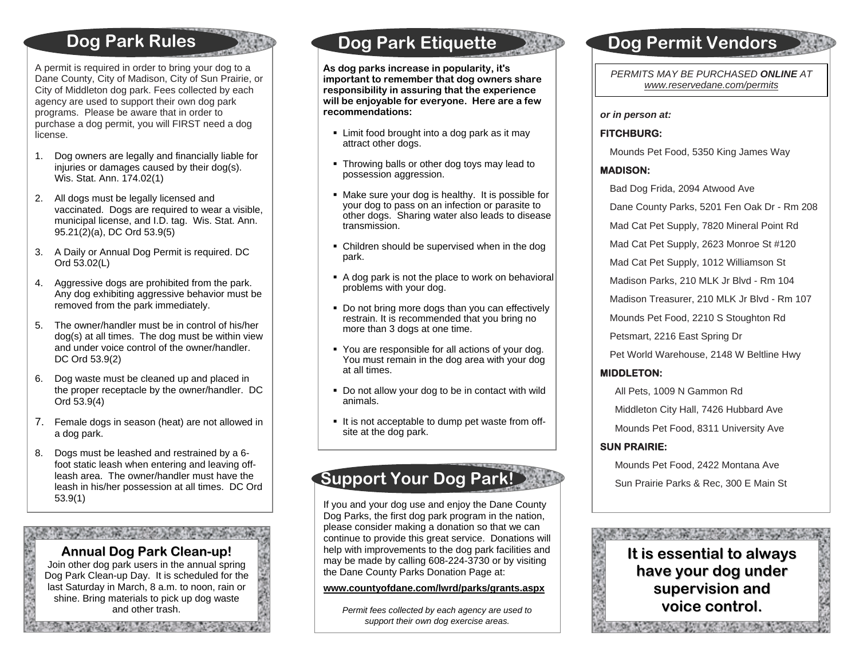### **Do g Park Rules**

 programs. Please be aware that in order to A permit is required in order to bring your dog to a Dane County, City of Madison, City of Sun Prairie, or City of Middleton dog park. Fees collected by each agency are used to support their own dog park purchase a dog permit, you will FIRST need a dog license.

- 1. Dog owners are legally and financially liable for injuries or damages caused by their dog(s). Wis. Stat. Ann. 174.02(1)
- 2. All dogs must be legally licensed and vaccinated. Dogs are required to wear a visible, municipal license, and I.D. tag. Wis. Stat. Ann. 95.21(2)(a), DC Ord 53.9(5)
- 3. A Daily or Annual Dog Permit is required. DC Ord 53.02(L)
- 4. Aggressive dogs are prohibited from the park. Any dog exhibiting aggressive behavior must be removed from the park immediately.
- 5. The owner/handler must be in control of his/her dog(s) at all times. The dog must be within view and under voice control of the owner/handler. DC Ord 53.9(2)
- 6. Dog waste must be cleaned up and placed in the proper receptacle by the owner/handler. DC Ord 53.9(4)
- 7. Female dogs in season (heat) are not allowed in a dog park.
- 8. Dogs must be leashed and restrained by a 6 foot static leash when entering and leaving offleash area. The owner/handler must have the leash in his/her possession at all times. DC Ord 53.9(1)

The street with the water control with the street with the

**Annual Dog ParkClean-up!** Join other dog park users in the annual spring Dog Park Clean-up Day. It is scheduled for the last Saturday in March, 8 a.m. to noon, rain or shine. Bring materials to pick up dog waste and other trash.

**SAN ANG PANAHANG PANGANAN** 

「大学の大学の人の

### **Do g Park Eti quette**

**As dog parks increase in popularity, it's important to remember that dog owners share responsibility in assuring that the experience will be enjoyable for everyone. Here are a few recommendations:** 

- Limit food brought into a dog park as it may attract other dogs.
- Throwing balls or other dog toys may lead to possession aggression.
- Make sure your dog is healthy. It is possible for your dog to pass on an infection or parasite to other dogs. Sharing water also leads to disease transmission.
- Children should be supervised when in the dog park.
- A dog park is not the place to work on behavioral problems with your dog.
- Do not bring more dogs than you can effectively restrain. It is recommended that you bring no more than 3 dogs at one time.
- You are responsible for all actions of your dog. You must remain in the dog area with your dog at all times.
- Do not allow your dog to be in contact with wild animals.
- It is not acceptable to dump pet waste from offsite at the dog park.

## **Support Your Do g Park!**

If you and your dog use and enjoy the Dane County Dog Parks, the first dog park program in the nation, please consider making a donation so that we can continue to provide this great service. Donations will help with improvements to the dog park facilities and may be made by calling 608-224-3730 or by visiting the Dane County Parks Donation Page at:

#### **www.countyofdane.com/lwrd/parks/grants.aspx**

*Permit fees collected by each agency are used to support their own dog exercise areas.* 

### **Do g Permit Vendors**

*PERMITS MAY BE PURCHASED ONLINE AT www.reservedane.com/permits*

*or in person at:* 

#### **FITCHBURG:**

Mounds Pet Food, 5350 King James Way

#### **MADISON:**

Bad Dog Frida, 2094 Atwood Ave

Dane County Parks, 5201 Fen Oak Dr - Rm 208

Mad Cat Pet Supply, 7820 Mineral Point Rd

Mad Cat Pet Supply, 2623 Monroe St #120

Mad Cat Pet Supply, 1012 Williamson St

Madison Parks, 210 MLK Jr Blvd - Rm 104

Madison Treasurer, 210 MLK Jr Blvd - Rm 107

Mounds Pet Food, 2210 S Stoughton Rd

Petsmart, 2216 East Spring Dr

Pet World Warehouse, 2148 W Beltline Hwy

#### **MIDDLETON:**

All Pets, 1009 N Gammon Rd

Middleton City Hall, 7426 Hubbard Ave

Mounds Pet Food, 8311 University Ave

#### **SUN PRAIRIE:**

 Mounds Pet Food, 2422 Montana Ave Sun Prairie Parks & Rec, 300 E Main St